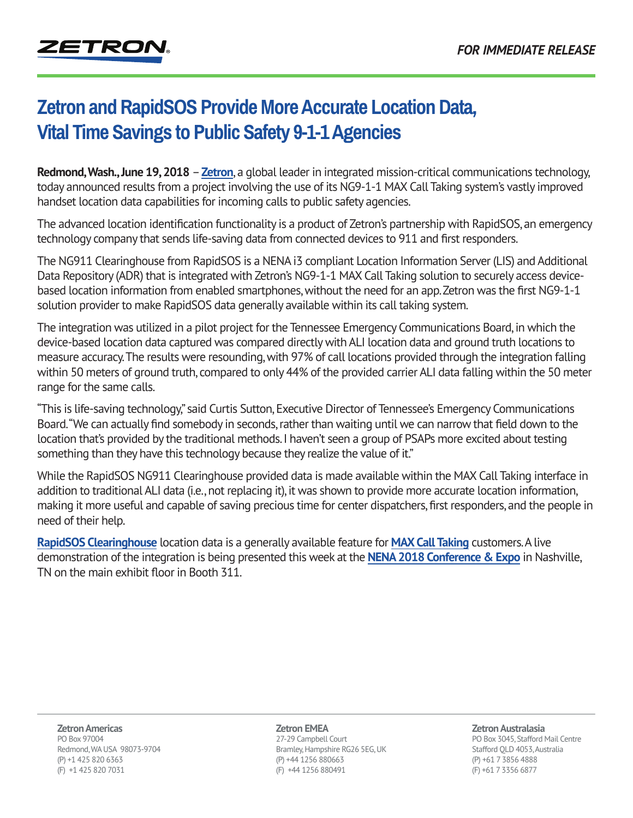## **[Zetron and RapidSOS Provide More Accurate Location Data,](https://www.zetron.com/zetron-and-rapidsos-provide-more-accurate-location-data-vital-time-savings-to-public-safety-9-1-1-agencies)  Vital Time Savings to Public Safety 9-1-1 Agencies**

**Redmond, Wash., June 19, 2018** – **[Zetron](www.zetron.com)**, a global leader in integrated mission-critical communications technology, today announced results from a project involving the use of its NG9-1-1 MAX Call Taking system's vastly improved handset location data capabilities for incoming calls to public safety agencies.

The advanced location identification functionality is a product of Zetron's partnership with RapidSOS, an emergency technology company that sends life-saving data from connected devices to 911 and first responders.

The NG911 Clearinghouse from RapidSOS is a NENA i3 compliant Location Information Server (LIS) and Additional Data Repository (ADR) that is integrated with Zetron's NG9-1-1 MAX Call Taking solution to securely access devicebased location information from enabled smartphones, without the need for an app. Zetron was the first NG9-1-1 solution provider to make RapidSOS data generally available within its call taking system.

The integration was utilized in a pilot project for the Tennessee Emergency Communications Board, in which the device-based location data captured was compared directly with ALI location data and ground truth locations to measure accuracy. The results were resounding, with 97% of call locations provided through the integration falling within 50 meters of ground truth, compared to only 44% of the provided carrier ALI data falling within the 50 meter range for the same calls.

"This is life-saving technology," said Curtis Sutton, Executive Director of Tennessee's Emergency Communications Board. "We can actually find somebody in seconds, rather than waiting until we can narrow that field down to the location that's provided by the traditional methods. I haven't seen a group of PSAPs more excited about testing something than they have this technology because they realize the value of it."

While the RapidSOS NG911 Clearinghouse provided data is made available within the MAX Call Taking interface in addition to traditional ALI data (i.e., not replacing it), it was shown to provide more accurate location information, making it more useful and capable of saving precious time for center dispatchers, first responders, and the people in need of their help.

**[RapidSOS Clearinghouse](https://www.rapidsos.com/ng911clearinghouse/)** location data is a generally available feature for **[MAX Call Taking](https://www.zetron.com/mission-critical-solutions/max/max-call-taking/)** customers. A live demonstration of the integration is being presented this week at the **[NENA 2018 Conference & Expo](https://www.nena.org/default.aspx)** in Nashville, TN on the main exhibit floor in Booth 311.

**Zetron Americas** PO Box 97004 Redmond, WA USA 98073-9704 (P) +1 425 820 6363 (F) +1 425 820 7031

**Zetron EMEA** 27-29 Campbell Court Bramley, Hampshire RG26 5EG, UK (P) +44 1256 880663 (F) +44 1256 880491

**Zetron Australasia**

PO Box 3045, Stafford Mail Centre Stafford QLD 4053, Australia (P) +61 7 3856 4888 (F) +61 7 3356 6877